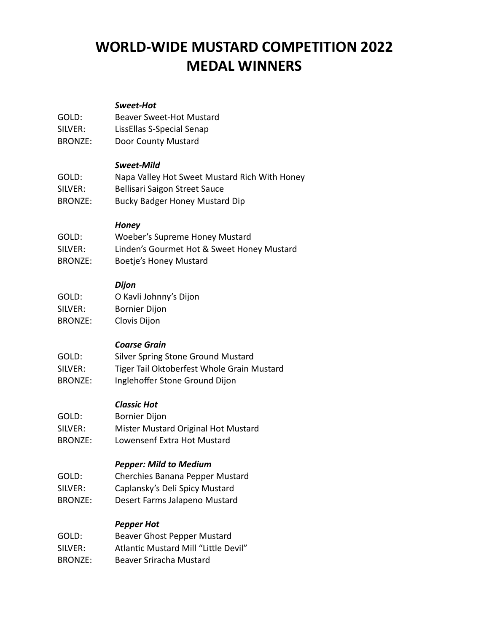# **WORLD-WIDE MUSTARD COMPETITION 2022 MEDAL WINNERS**

#### *Sweet-Hot*

- GOLD: Beaver Sweet-Hot Mustard SILVER: LissEllas S-Special Senap
- BRONZE: Door County Mustard

#### *Sweet-Mild*

| GOLD:   | Napa Valley Hot Sweet Mustard Rich With Honey |
|---------|-----------------------------------------------|
| SILVER: | Bellisari Saigon Street Sauce                 |
| BRONZE: | Bucky Badger Honey Mustard Dip                |

#### *Honey*

| GOLD:          | Woeber's Supreme Honey Mustard             |
|----------------|--------------------------------------------|
| SILVER:        | Linden's Gourmet Hot & Sweet Honey Mustard |
| <b>BRONZE:</b> | <b>Boetje's Honey Mustard</b>              |

# *Dijon*

| GOLD:   | O Kavli Johnny's Dijon |
|---------|------------------------|
| SILVER: | <b>Bornier Dijon</b>   |
| BRONZE: | Clovis Dijon           |

# *Coarse Grain*

| GOLD:   | Silver Spring Stone Ground Mustard         |
|---------|--------------------------------------------|
| SILVER: | Tiger Tail Oktoberfest Whole Grain Mustard |
| BRONZE: | Inglehoffer Stone Ground Dijon             |

# *Classic Hot*

GOLD: Bornier Dijon SILVER: Mister Mustard Original Hot Mustard BRONZE: Lowensenf Extra Hot Mustard

# *Pepper: Mild to Medium*

- GOLD: Cherchies Banana Pepper Mustard
- SILVER: Caplansky's Deli Spicy Mustard
- BRONZE: Desert Farms Jalapeno Mustard

# *Pepper Hot*

| GOLD: | Beaver Ghost Pepper Mustard |
|-------|-----------------------------|
|       |                             |

- SILVER: Atlantic Mustard Mill "Little Devil"
- BRONZE: Beaver Sriracha Mustard